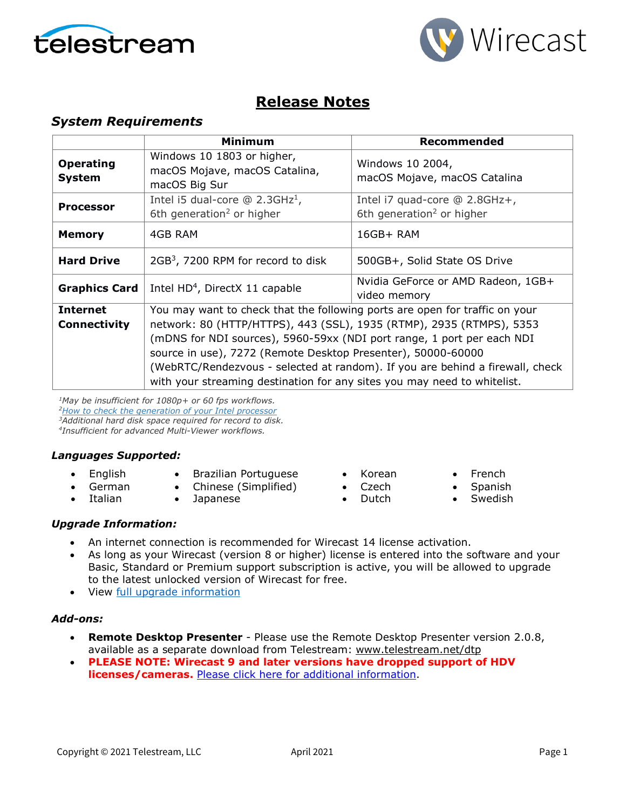



# **Release Notes**

## *System Requirements*

|                                        | <b>Minimum</b>                                                                                                                                                                                                                                                                                                                                                                                                                                             | Recommended                                                            |
|----------------------------------------|------------------------------------------------------------------------------------------------------------------------------------------------------------------------------------------------------------------------------------------------------------------------------------------------------------------------------------------------------------------------------------------------------------------------------------------------------------|------------------------------------------------------------------------|
| <b>Operating</b><br><b>System</b>      | Windows 10 1803 or higher,<br>macOS Mojave, macOS Catalina,<br>macOS Big Sur                                                                                                                                                                                                                                                                                                                                                                               | Windows 10 2004,<br>macOS Mojave, macOS Catalina                       |
| <b>Processor</b>                       | Intel i5 dual-core $@$ 2.3GHz <sup>1</sup> ,<br>6th generation <sup>2</sup> or higher                                                                                                                                                                                                                                                                                                                                                                      | Intel i7 quad-core @ 2.8GHz+,<br>6th generation <sup>2</sup> or higher |
| <b>Memory</b>                          | 4GB RAM                                                                                                                                                                                                                                                                                                                                                                                                                                                    | $16GB+ RAM$                                                            |
| <b>Hard Drive</b>                      | $2GB3$ , 7200 RPM for record to disk                                                                                                                                                                                                                                                                                                                                                                                                                       | 500GB+, Solid State OS Drive                                           |
| <b>Graphics Card</b>                   | Intel HD <sup>4</sup> , DirectX 11 capable                                                                                                                                                                                                                                                                                                                                                                                                                 | Nvidia GeForce or AMD Radeon, 1GB+<br>video memory                     |
| <b>Internet</b><br><b>Connectivity</b> | You may want to check that the following ports are open for traffic on your<br>network: 80 (HTTP/HTTPS), 443 (SSL), 1935 (RTMP), 2935 (RTMPS), 5353<br>(mDNS for NDI sources), 5960-59xx (NDI port range, 1 port per each NDI<br>source in use), 7272 (Remote Desktop Presenter), 50000-60000<br>(WebRTC/Rendezvous - selected at random). If you are behind a firewall, check<br>with your streaming destination for any sites you may need to whitelist. |                                                                        |

*1May be insufficient for 1080p+ or 60 fps workflows. [2How to check the generation of your Intel](http://www.telestream.net/telestream-support/wire-cast/faq.htm?kbURL=http://telestream.force.com/kb/articles/Knowledge_Article/Wirecast-How-to-check-the-generation-of-your-Intel-processor/) processor 3Additional hard disk space required for record to disk. 4Insufficient for advanced Multi-Viewer workflows.*

### *Languages Supported:*

- English
- Brazilian Portuguese
- German • Italian
- Chinese (Simplified) • Japanese
- Korean
- Czech
	- Dutch
- French
- Spanish
- **Swedish**

### *Upgrade Information:*

- An internet connection is recommended for Wirecast 14 license activation.
- As long as your Wirecast (version 8 or higher) license is entered into the software and your Basic, Standard or Premium support subscription is active, you will be allowed to upgrade to the latest unlocked version of Wirecast for free.
- View [full upgrade information](http://www.telestream.net/wirecast/upgrade.htm#upgrade)

### *Add-ons:*

- **Remote Desktop Presenter**  Please use the Remote Desktop Presenter version 2.0.8, available as a separate download from Telestream: [www.telestream.net/dtp](http://www.telestream.net/dtp)
- **PLEASE NOTE: Wirecast 9 and later versions have dropped support of HDV licenses/cameras. [Please click here for additional information.](http://www.telestream.net/telestream-support/wire-cast/faq.htm?kbURL=http://telestream.force.com/kb/articles/Knowledge_Article/Wirecast-HDV-Firewire-No-longer-Supported/)**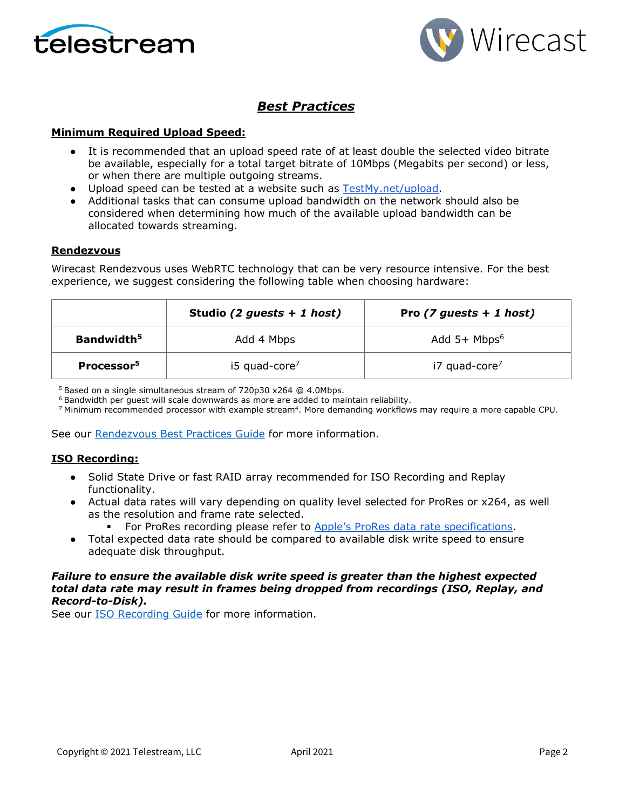



# *Best Practices*

### **Minimum Required Upload Speed:**

- It is recommended that an upload speed rate of at least double the selected video bitrate be available, especially for a total target bitrate of 10Mbps (Megabits per second) or less, or when there are multiple outgoing streams.
- Upload speed can be tested at a website such as [TestMy.net/upload.](http://testmy.net/upload)
- Additional tasks that can consume upload bandwidth on the network should also be considered when determining how much of the available upload bandwidth can be allocated towards streaming.

#### **Rendezvous**

Wirecast Rendezvous uses WebRTC technology that can be very resource intensive. For the best experience, we suggest considering the following table when choosing hardware:

|                        | Studio (2 guests $+ 1$ host) | Pro $(7$ guests + 1 host)  |
|------------------------|------------------------------|----------------------------|
| Bandwidth <sup>5</sup> | Add 4 Mbps                   | Add $5+$ Mbps <sup>6</sup> |
| Processor <sup>5</sup> | $15$ quad-core <sup>7</sup>  | i7 quad-core <sup>7</sup>  |

<sup>5</sup> Based on a single simultaneous stream of 720p30 x264 @ 4.0Mbps.

<sup>6</sup> Bandwidth per guest will scale downwards as more are added to maintain reliability.

<sup>7</sup> Minimum recommended processor with example stream<sup>4</sup>. More demanding workflows may require a more capable CPU.

See our [Rendezvous Best Practices Guide](http://www.telestream.net/pdfs/technical/Wirecast-Rendezvous-Best-Practices-Guide.pdf) for more information.

### **ISO Recording:**

- Solid State Drive or fast RAID array recommended for ISO Recording and Replay functionality.
- Actual data rates will vary depending on quality level selected for ProRes or x264, as well as the resolution and frame rate selected.
	- For ProRes recording please refer to [Apple's ProRes data rate specifications.](https://en.wikipedia.org/wiki/Apple_ProRes#ProRes-Overview)
- Total expected data rate should be compared to available disk write speed to ensure adequate disk throughput.

### *Failure to ensure the available disk write speed is greater than the highest expected total data rate may result in frames being dropped from recordings (ISO, Replay, and Record-to-Disk).*

See our [ISO Recording Guide](https://www.telestream.net/pdfs/technical/Wirecast-ISO-Best-Practices-Guide.pdf) for more information.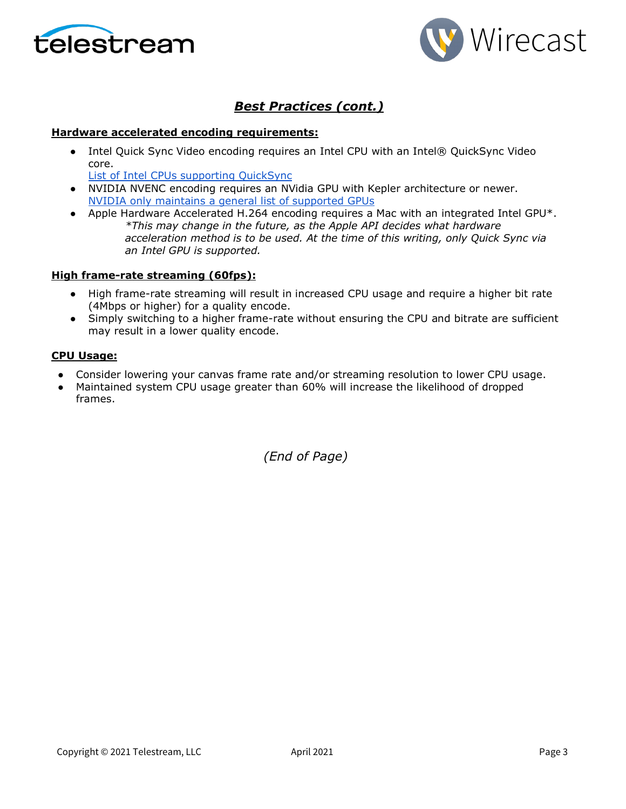



# *Best Practices (cont.)*

### **Hardware accelerated encoding requirements:**

• Intel Quick Sync Video encoding requires an Intel CPU with an Intel® QuickSync Video core[.](http://ark.intel.com/search/advanced?QuickSyncVideo=true&MarketSegment=DT)

[List of Intel CPUs supporting QuickSync](https://ark.intel.com/content/www/us/en/ark/search/featurefilter.html?productType=873&0_QuickSyncVideo=True)

- NVIDIA NVENC encoding requires an NVidia GPU with Kepler architecture or newer[.](https://developer.nvidia.com/nvidia-video-codec-sdk) [NVIDIA only maintains a general list of supported GPUs](https://developer.nvidia.com/nvidia-video-codec-sdk)
- Apple Hardware Accelerated H.264 encoding requires a Mac with an integrated Intel GPU\*. *\*This may change in the future, as the Apple API decides what hardware acceleration method is to be used. At the time of this writing, only Quick Sync via an Intel GPU is supported.*

#### **High frame-rate streaming (60fps):**

- High frame-rate streaming will result in increased CPU usage and require a higher bit rate (4Mbps or higher) for a quality encode.
- Simply switching to a higher frame-rate without ensuring the CPU and bitrate are sufficient may result in a lower quality encode.

#### **CPU Usage:**

- Consider lowering your canvas frame rate and/or streaming resolution to lower CPU usage.
- Maintained system CPU usage greater than 60% will increase the likelihood of dropped frames.

*(End of Page)*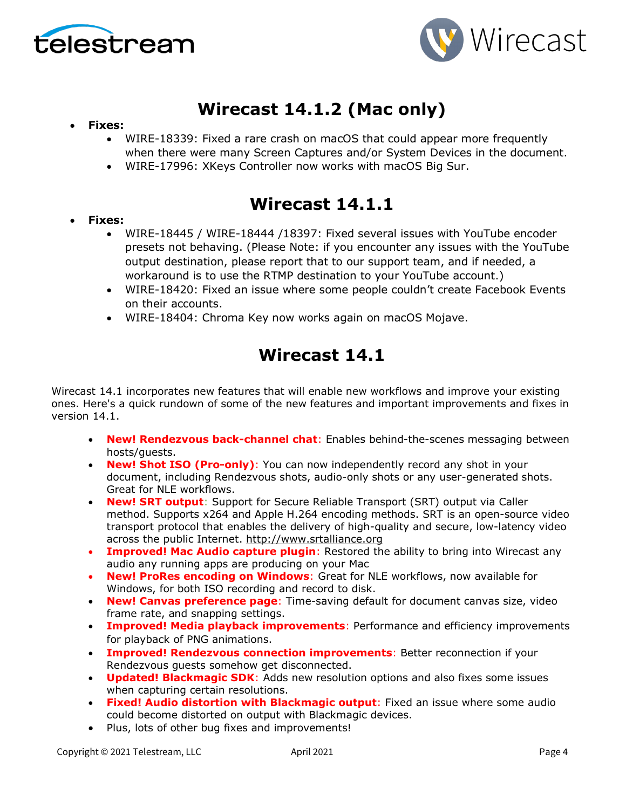



# **Wirecast 14.1.2 (Mac only)**

### • **Fixes:**

- WIRE-18339: Fixed a rare crash on macOS that could appear more frequently when there were many Screen Captures and/or System Devices in the document.
- WIRE-17996: XKeys Controller now works with macOS Big Sur.

# **Wirecast 14.1.1**

### • **Fixes:**

- WIRE-18445 / WIRE-18444 /18397: Fixed several issues with YouTube encoder presets not behaving. (Please Note: if you encounter any issues with the YouTube output destination, please report that to our support team, and if needed, a workaround is to use the RTMP destination to your YouTube account.)
- WIRE-18420: Fixed an issue where some people couldn't create Facebook Events on their accounts.
- WIRE-18404: Chroma Key now works again on macOS Mojave.

# **Wirecast 14.1**

Wirecast 14.1 incorporates new features that will enable new workflows and improve your existing ones. Here's a quick rundown of some of the new features and important improvements and fixes in version 14.1.

- **New! Rendezvous back-channel chat**: Enables behind-the-scenes messaging between hosts/guests.
- **New! Shot ISO (Pro-only)**: You can now independently record any shot in your document, including Rendezvous shots, audio-only shots or any user-generated shots. Great for NLE workflows.
- **New! SRT output**: Support for Secure Reliable Transport (SRT) output via Caller method. Supports x264 and Apple H.264 encoding methods. SRT is an open-source video transport protocol that enables the delivery of high-quality and secure, low-latency video across the public Internet. [http://www.srtalliance.org](http://www.srtalliance.org/)
- **Improved! Mac Audio capture plugin**: Restored the ability to bring into Wirecast any audio any running apps are producing on your Mac
- **New! ProRes encoding on Windows**: Great for NLE workflows, now available for Windows, for both ISO recording and record to disk.
- **New! Canvas preference page**: Time-saving default for document canvas size, video frame rate, and snapping settings.
- **Improved! Media playback improvements**: Performance and efficiency improvements for playback of PNG animations.
- **Improved! Rendezvous connection improvements**: Better reconnection if your Rendezvous guests somehow get disconnected.
- **Updated! Blackmagic SDK**: Adds new resolution options and also fixes some issues when capturing certain resolutions.
- **Fixed! Audio distortion with Blackmagic output**: Fixed an issue where some audio could become distorted on output with Blackmagic devices.
- Plus, lots of other bug fixes and improvements!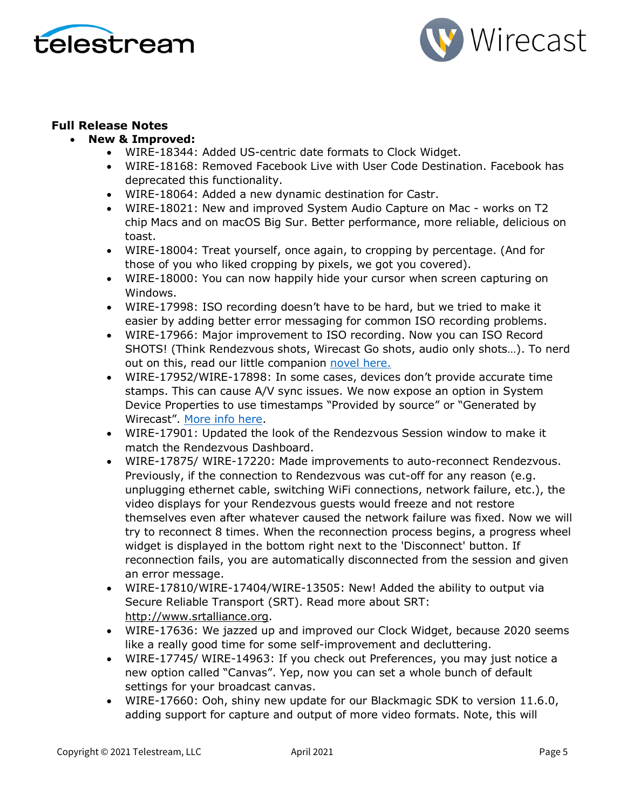



## **Full Release Notes**

- **New & Improved:**
	- WIRE-18344: Added US-centric date formats to Clock Widget.
	- WIRE-18168: Removed Facebook Live with User Code Destination. Facebook has deprecated this functionality.
	- WIRE-18064: Added a new dynamic destination for Castr.
	- WIRE-18021: New and improved System Audio Capture on Mac works on T2 chip Macs and on macOS Big Sur. Better performance, more reliable, delicious on toast.
	- WIRE-18004: Treat yourself, once again, to cropping by percentage. (And for those of you who liked cropping by pixels, we got you covered).
	- WIRE-18000: You can now happily hide your cursor when screen capturing on Windows.
	- WIRE-17998: ISO recording doesn't have to be hard, but we tried to make it easier by adding better error messaging for common ISO recording problems.
	- WIRE-17966: Major improvement to ISO recording. Now you can ISO Record SHOTS! (Think Rendezvous shots, Wirecast Go shots, audio only shots…). To nerd out on this, read our little companion [novel here.](https://www.telestream.net/download-files/wirecast/14-1/ISO-Recording-Changes.pdf)
	- WIRE-17952/WIRE-17898: In some cases, devices don't provide accurate time stamps. This can cause A/V sync issues. We now expose an option in System Device Properties to use timestamps "Provided by source" or "Generated by Wirecast". [More info here.](http://telestream.force.com/kb/articles/Knowledge_Article/Wirecast-Timestamps-Option/)
	- WIRE-17901: Updated the look of the Rendezvous Session window to make it match the Rendezvous Dashboard.
	- WIRE-17875/ WIRE-17220: Made improvements to auto-reconnect Rendezvous. Previously, if the connection to Rendezvous was cut-off for any reason (e.g. unplugging ethernet cable, switching WiFi connections, network failure, etc.), the video displays for your Rendezvous guests would freeze and not restore themselves even after whatever caused the network failure was fixed. Now we will try to reconnect 8 times. When the reconnection process begins, a progress wheel widget is displayed in the bottom right next to the 'Disconnect' button. If reconnection fails, you are automatically disconnected from the session and given an error message.
	- WIRE-17810/WIRE-17404/WIRE-13505: New! Added the ability to output via Secure Reliable Transport (SRT). Read more about SRT: [http://www.srtalliance.org.](http://www.srtalliance.org/)
	- WIRE-17636: We jazzed up and improved our Clock Widget, because 2020 seems like a really good time for some self-improvement and decluttering.
	- WIRE-17745/ WIRE-14963: If you check out Preferences, you may just notice a new option called "Canvas". Yep, now you can set a whole bunch of default settings for your broadcast canvas.
	- WIRE-17660: Ooh, shiny new update for our Blackmagic SDK to version 11.6.0, adding support for capture and output of more video formats. Note, this will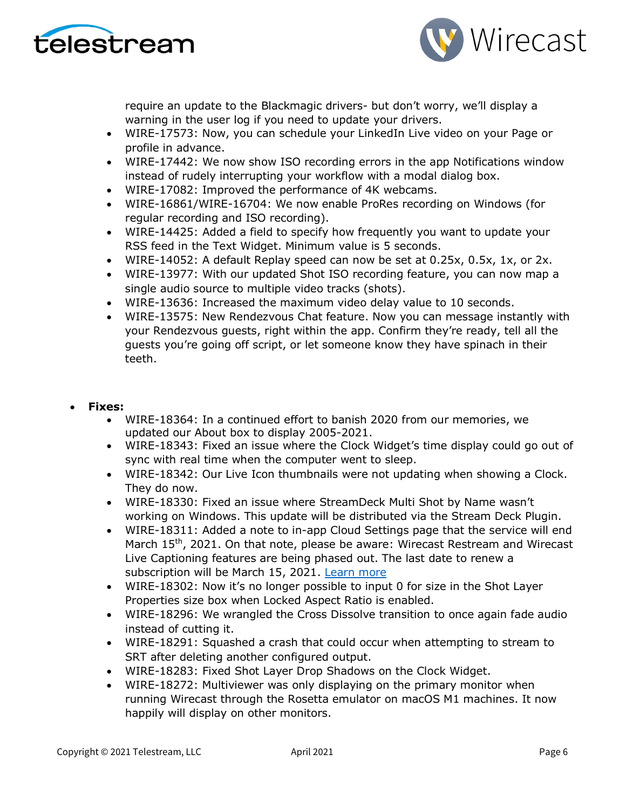



require an update to the Blackmagic drivers- but don't worry, we'll display a warning in the user log if you need to update your drivers.

- WIRE-17573: Now, you can schedule your LinkedIn Live video on your Page or profile in advance.
- WIRE-17442: We now show ISO recording errors in the app Notifications window instead of rudely interrupting your workflow with a modal dialog box.
- WIRE-17082: Improved the performance of 4K webcams.
- WIRE-16861/WIRE-16704: We now enable ProRes recording on Windows (for regular recording and ISO recording).
- WIRE-14425: Added a field to specify how frequently you want to update your RSS feed in the Text Widget. Minimum value is 5 seconds.
- WIRE-14052: A default Replay speed can now be set at 0.25x, 0.5x, 1x, or 2x.
- WIRE-13977: With our updated Shot ISO recording feature, you can now map a single audio source to multiple video tracks (shots).
- WIRE-13636: Increased the maximum video delay value to 10 seconds.
- WIRE-13575: New Rendezvous Chat feature. Now you can message instantly with your Rendezvous guests, right within the app. Confirm they're ready, tell all the guests you're going off script, or let someone know they have spinach in their teeth.

### • **Fixes:**

- WIRE-18364: In a continued effort to banish 2020 from our memories, we updated our About box to display 2005-2021.
- WIRE-18343: Fixed an issue where the Clock Widget's time display could go out of sync with real time when the computer went to sleep.
- WIRE-18342: Our Live Icon thumbnails were not updating when showing a Clock. They do now.
- WIRE-18330: Fixed an issue where StreamDeck Multi Shot by Name wasn't working on Windows. This update will be distributed via the Stream Deck Plugin.
- WIRE-18311: Added a note to in-app Cloud Settings page that the service will end March 15<sup>th</sup>, 2021. On that note, please be aware: Wirecast Restream and Wirecast Live Captioning features are being phased out. The last date to renew a subscription will be March 15, 2021. [Learn more](http://www.telestream.net/telestream-support/wire-cast/faq.htm?kbURL=http://telestream.force.com/kb/articles/Knowledge_Article/Wirecast-Web-Services-Restream-Closed-Caption-Announcement)
- WIRE-18302: Now it's no longer possible to input 0 for size in the Shot Layer Properties size box when Locked Aspect Ratio is enabled.
- WIRE-18296: We wrangled the Cross Dissolve transition to once again fade audio instead of cutting it.
- WIRE-18291: Squashed a crash that could occur when attempting to stream to SRT after deleting another configured output.
- WIRE-18283: Fixed Shot Layer Drop Shadows on the Clock Widget.
- WIRE-18272: Multiviewer was only displaying on the primary monitor when running Wirecast through the Rosetta emulator on macOS M1 machines. It now happily will display on other monitors.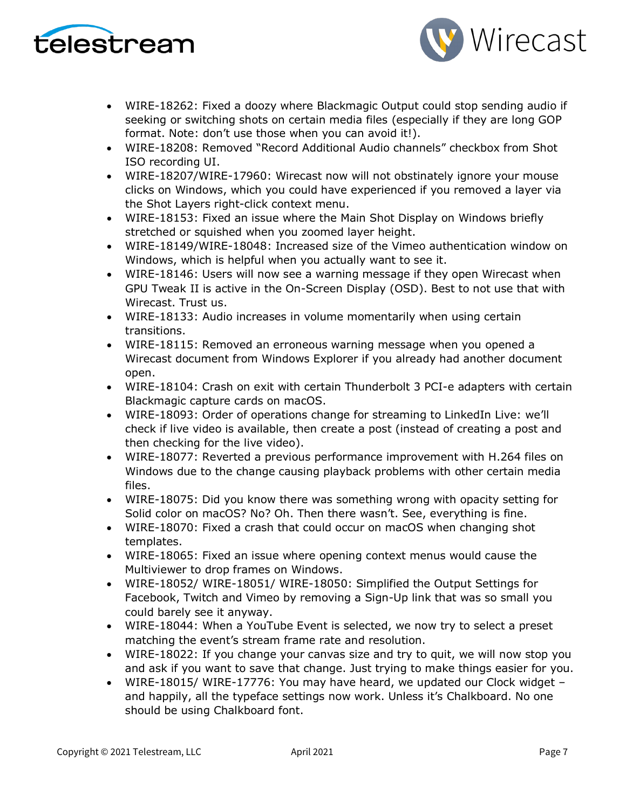



- WIRE-18262: Fixed a doozy where Blackmagic Output could stop sending audio if seeking or switching shots on certain media files (especially if they are long GOP format. Note: don't use those when you can avoid it!).
- WIRE-18208: Removed "Record Additional Audio channels" checkbox from Shot ISO recording UI.
- WIRE-18207/WIRE-17960: Wirecast now will not obstinately ignore your mouse clicks on Windows, which you could have experienced if you removed a layer via the Shot Layers right-click context menu.
- WIRE-18153: Fixed an issue where the Main Shot Display on Windows briefly stretched or squished when you zoomed layer height.
- WIRE-18149/WIRE-18048: Increased size of the Vimeo authentication window on Windows, which is helpful when you actually want to see it.
- WIRE-18146: Users will now see a warning message if they open Wirecast when GPU Tweak II is active in the On-Screen Display (OSD). Best to not use that with Wirecast. Trust us.
- WIRE-18133: Audio increases in volume momentarily when using certain transitions.
- WIRE-18115: Removed an erroneous warning message when you opened a Wirecast document from Windows Explorer if you already had another document open.
- WIRE-18104: Crash on exit with certain Thunderbolt 3 PCI-e adapters with certain Blackmagic capture cards on macOS.
- WIRE-18093: Order of operations change for streaming to LinkedIn Live: we'll check if live video is available, then create a post (instead of creating a post and then checking for the live video).
- WIRE-18077: Reverted a previous performance improvement with H.264 files on Windows due to the change causing playback problems with other certain media files.
- WIRE-18075: Did you know there was something wrong with opacity setting for Solid color on macOS? No? Oh. Then there wasn't. See, everything is fine.
- WIRE-18070: Fixed a crash that could occur on macOS when changing shot templates.
- WIRE-18065: Fixed an issue where opening context menus would cause the Multiviewer to drop frames on Windows.
- WIRE-18052/ WIRE-18051/ WIRE-18050: Simplified the Output Settings for Facebook, Twitch and Vimeo by removing a Sign-Up link that was so small you could barely see it anyway.
- WIRE-18044: When a YouTube Event is selected, we now try to select a preset matching the event's stream frame rate and resolution.
- WIRE-18022: If you change your canvas size and try to quit, we will now stop you and ask if you want to save that change. Just trying to make things easier for you.
- WIRE-18015/ WIRE-17776: You may have heard, we updated our Clock widget and happily, all the typeface settings now work. Unless it's Chalkboard. No one should be using Chalkboard font.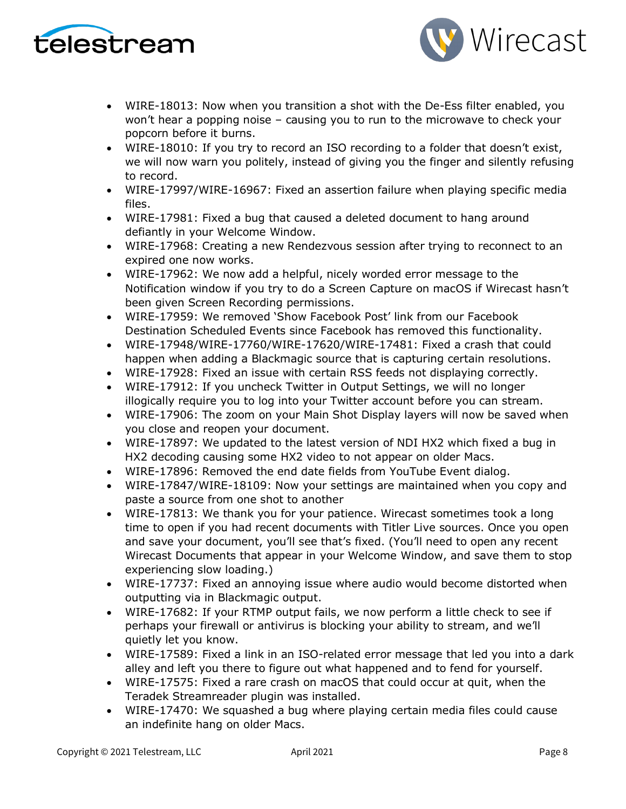



- WIRE-18013: Now when you transition a shot with the De-Ess filter enabled, you won't hear a popping noise – causing you to run to the microwave to check your popcorn before it burns.
- WIRE-18010: If you try to record an ISO recording to a folder that doesn't exist, we will now warn you politely, instead of giving you the finger and silently refusing to record.
- WIRE-17997/WIRE-16967: Fixed an assertion failure when playing specific media files.
- WIRE-17981: Fixed a bug that caused a deleted document to hang around defiantly in your Welcome Window.
- WIRE-17968: Creating a new Rendezvous session after trying to reconnect to an expired one now works.
- WIRE-17962: We now add a helpful, nicely worded error message to the Notification window if you try to do a Screen Capture on macOS if Wirecast hasn't been given Screen Recording permissions.
- WIRE-17959: We removed 'Show Facebook Post' link from our Facebook Destination Scheduled Events since Facebook has removed this functionality.
- WIRE-17948/WIRE-17760/WIRE-17620/WIRE-17481: Fixed a crash that could happen when adding a Blackmagic source that is capturing certain resolutions.
- WIRE-17928: Fixed an issue with certain RSS feeds not displaying correctly.
- WIRE-17912: If you uncheck Twitter in Output Settings, we will no longer illogically require you to log into your Twitter account before you can stream.
- WIRE-17906: The zoom on your Main Shot Display layers will now be saved when you close and reopen your document.
- WIRE-17897: We updated to the latest version of NDI HX2 which fixed a bug in HX2 decoding causing some HX2 video to not appear on older Macs.
- WIRE-17896: Removed the end date fields from YouTube Event dialog.
- WIRE-17847/WIRE-18109: Now your settings are maintained when you copy and paste a source from one shot to another
- WIRE-17813: We thank you for your patience. Wirecast sometimes took a long time to open if you had recent documents with Titler Live sources. Once you open and save your document, you'll see that's fixed. (You'll need to open any recent Wirecast Documents that appear in your Welcome Window, and save them to stop experiencing slow loading.)
- WIRE-17737: Fixed an annoying issue where audio would become distorted when outputting via in Blackmagic output.
- WIRE-17682: If your RTMP output fails, we now perform a little check to see if perhaps your firewall or antivirus is blocking your ability to stream, and we'll quietly let you know.
- WIRE-17589: Fixed a link in an ISO-related error message that led you into a dark alley and left you there to figure out what happened and to fend for yourself.
- WIRE-17575: Fixed a rare crash on macOS that could occur at quit, when the Teradek Streamreader plugin was installed.
- WIRE-17470: We squashed a bug where playing certain media files could cause an indefinite hang on older Macs.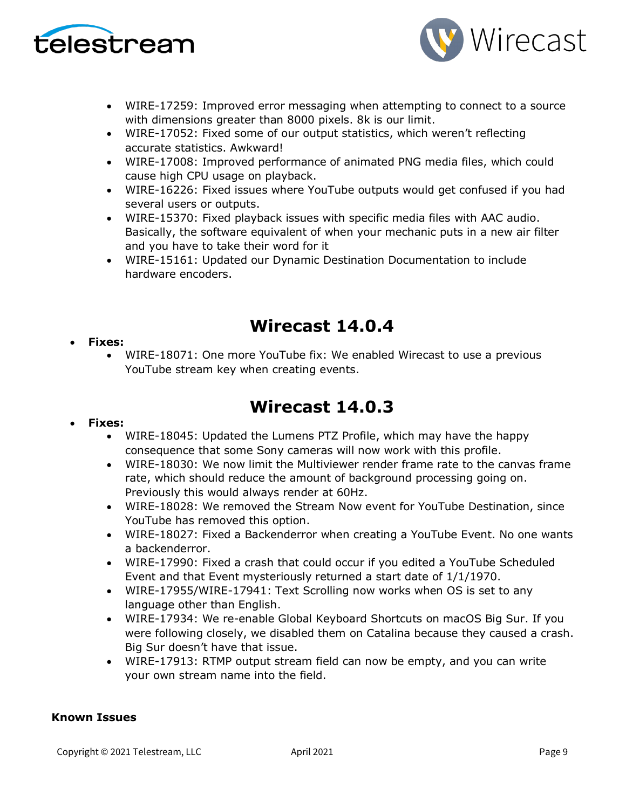



- WIRE-17259: Improved error messaging when attempting to connect to a source with dimensions greater than 8000 pixels. 8k is our limit.
- WIRE-17052: Fixed some of our output statistics, which weren't reflecting accurate statistics. Awkward!
- WIRE-17008: Improved performance of animated PNG media files, which could cause high CPU usage on playback.
- WIRE-16226: Fixed issues where YouTube outputs would get confused if you had several users or outputs.
- WIRE-15370: Fixed playback issues with specific media files with AAC audio. Basically, the software equivalent of when your mechanic puts in a new air filter and you have to take their word for it
- WIRE-15161: Updated our Dynamic Destination Documentation to include hardware encoders.

# **Wirecast 14.0.4**

### • **Fixes:**

• WIRE-18071: One more YouTube fix: We enabled Wirecast to use a previous YouTube stream key when creating events.

# **Wirecast 14.0.3**

### • **Fixes:**

- WIRE-18045: Updated the Lumens PTZ Profile, which may have the happy consequence that some Sony cameras will now work with this profile.
- WIRE-18030: We now limit the Multiviewer render frame rate to the canvas frame rate, which should reduce the amount of background processing going on. Previously this would always render at 60Hz.
- WIRE-18028: We removed the Stream Now event for YouTube Destination, since YouTube has removed this option.
- WIRE-18027: Fixed a Backenderror when creating a YouTube Event. No one wants a backenderror.
- WIRE-17990: Fixed a crash that could occur if you edited a YouTube Scheduled Event and that Event mysteriously returned a start date of 1/1/1970.
- WIRE-17955/WIRE-17941: Text Scrolling now works when OS is set to any language other than English.
- WIRE-17934: We re-enable Global Keyboard Shortcuts on macOS Big Sur. If you were following closely, we disabled them on Catalina because they caused a crash. Big Sur doesn't have that issue.
- WIRE-17913: RTMP output stream field can now be empty, and you can write your own stream name into the field.

### **Known Issues**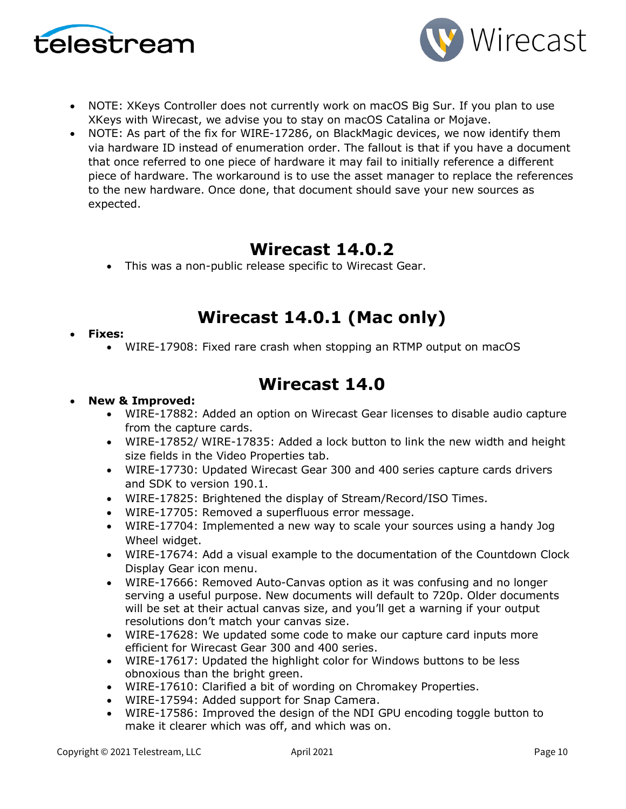



- NOTE: XKeys Controller does not currently work on macOS Big Sur. If you plan to use XKeys with Wirecast, we advise you to stay on macOS Catalina or Mojave.
- NOTE: As part of the fix for WIRE-17286, on BlackMagic devices, we now identify them via hardware ID instead of enumeration order. The fallout is that if you have a document that once referred to one piece of hardware it may fail to initially reference a different piece of hardware. The workaround is to use the asset manager to replace the references to the new hardware. Once done, that document should save your new sources as expected.

# **Wirecast 14.0.2**

• This was a non-public release specific to Wirecast Gear.

# **Wirecast 14.0.1 (Mac only)**

### • **Fixes:**

• WIRE-17908: Fixed rare crash when stopping an RTMP output on macOS

# **Wirecast 14.0**

## • **New & Improved:**

- WIRE-17882: Added an option on Wirecast Gear licenses to disable audio capture from the capture cards.
- WIRE-17852/ WIRE-17835: Added a lock button to link the new width and height size fields in the Video Properties tab.
- WIRE-17730: Updated Wirecast Gear 300 and 400 series capture cards drivers and SDK to version 190.1.
- WIRE-17825: Brightened the display of Stream/Record/ISO Times.
- WIRE-17705: Removed a superfluous error message.
- WIRE-17704: Implemented a new way to scale your sources using a handy Jog Wheel widget.
- WIRE-17674: Add a visual example to the documentation of the Countdown Clock Display Gear icon menu.
- WIRE-17666: Removed Auto-Canvas option as it was confusing and no longer serving a useful purpose. New documents will default to 720p. Older documents will be set at their actual canvas size, and you'll get a warning if your output resolutions don't match your canvas size.
- WIRE-17628: We updated some code to make our capture card inputs more efficient for Wirecast Gear 300 and 400 series.
- WIRE-17617: Updated the highlight color for Windows buttons to be less obnoxious than the bright green.
- WIRE-17610: Clarified a bit of wording on Chromakey Properties.
- WIRE-17594: Added support for Snap Camera.
- WIRE-17586: Improved the design of the NDI GPU encoding toggle button to make it clearer which was off, and which was on.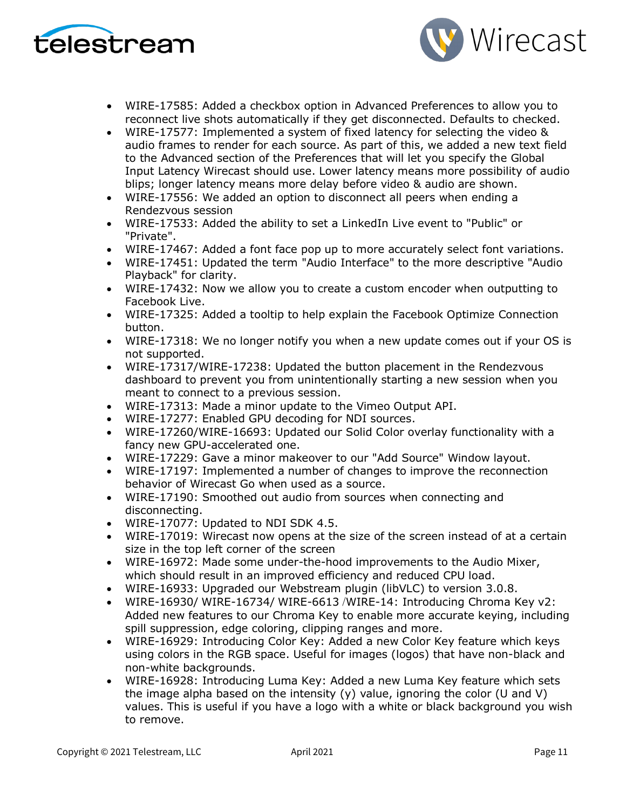



- WIRE-17585: Added a checkbox option in Advanced Preferences to allow you to reconnect live shots automatically if they get disconnected. Defaults to checked.
- WIRE-17577: Implemented a system of fixed latency for selecting the video & audio frames to render for each source. As part of this, we added a new text field to the Advanced section of the Preferences that will let you specify the Global Input Latency Wirecast should use. Lower latency means more possibility of audio blips; longer latency means more delay before video & audio are shown.
- WIRE-17556: We added an option to disconnect all peers when ending a Rendezvous session
- WIRE-17533: Added the ability to set a LinkedIn Live event to "Public" or "Private".
- WIRE-17467: Added a font face pop up to more accurately select font variations.
- WIRE-17451: Updated the term "Audio Interface" to the more descriptive "Audio Playback" for clarity.
- WIRE-17432: Now we allow you to create a custom encoder when outputting to Facebook Live.
- WIRE-17325: Added a tooltip to help explain the Facebook Optimize Connection button.
- WIRE-17318: We no longer notify you when a new update comes out if your OS is not supported.
- WIRE-17317/WIRE-17238: Updated the button placement in the Rendezvous dashboard to prevent you from unintentionally starting a new session when you meant to connect to a previous session.
- WIRE-17313: Made a minor update to the Vimeo Output API.
- WIRE-17277: Enabled GPU decoding for NDI sources.
- WIRE-17260/WIRE-16693: Updated our Solid Color overlay functionality with a fancy new GPU-accelerated one.
- WIRE-17229: Gave a minor makeover to our "Add Source" Window layout.
- WIRE-17197: Implemented a number of changes to improve the reconnection behavior of Wirecast Go when used as a source.
- WIRE-17190: Smoothed out audio from sources when connecting and disconnecting.
- WIRE-17077: Updated to NDI SDK 4.5.
- WIRE-17019: Wirecast now opens at the size of the screen instead of at a certain size in the top left corner of the screen
- WIRE-16972: Made some under-the-hood improvements to the Audio Mixer, which should result in an improved efficiency and reduced CPU load.
- WIRE-16933: Upgraded our Webstream plugin (libVLC) to version 3.0.8.
- WIRE-16930/ WIRE-16734/ WIRE-6613 /WIRE-14: Introducing Chroma Key v2: Added new features to our Chroma Key to enable more accurate keying, including spill suppression, edge coloring, clipping ranges and more.
- WIRE-16929: Introducing Color Key: Added a new Color Key feature which keys using colors in the RGB space. Useful for images (logos) that have non-black and non-white backgrounds.
- WIRE-16928: Introducing Luma Key: Added a new Luma Key feature which sets the image alpha based on the intensity  $(y)$  value, ignoring the color (U and V) values. This is useful if you have a logo with a white or black background you wish to remove.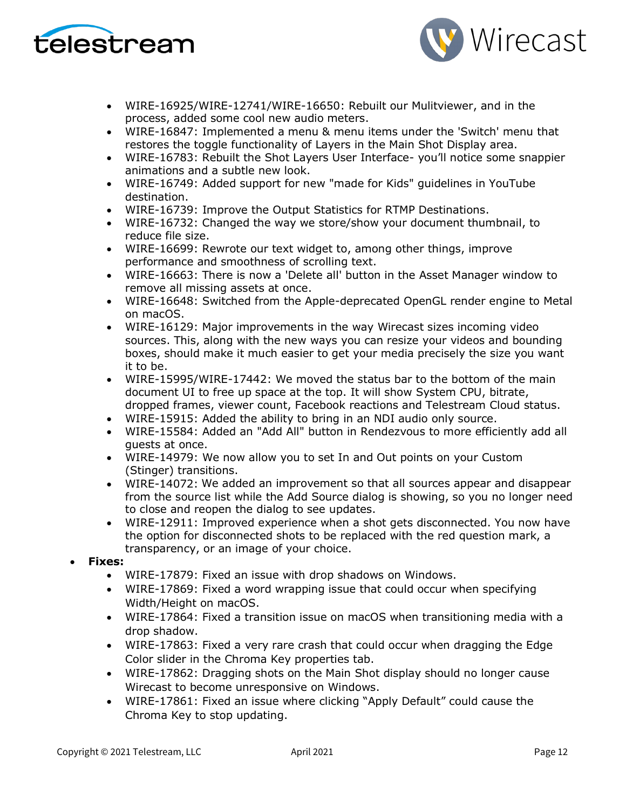



- WIRE-16925/WIRE-12741/WIRE-16650: Rebuilt our Mulitviewer, and in the process, added some cool new audio meters.
- WIRE-16847: Implemented a menu & menu items under the 'Switch' menu that restores the toggle functionality of Layers in the Main Shot Display area.
- WIRE-16783: Rebuilt the Shot Layers User Interface- you'll notice some snappier animations and a subtle new look.
- WIRE-16749: Added support for new "made for Kids" guidelines in YouTube destination.
- WIRE-16739: Improve the Output Statistics for RTMP Destinations.
- WIRE-16732: Changed the way we store/show your document thumbnail, to reduce file size.
- WIRE-16699: Rewrote our text widget to, among other things, improve performance and smoothness of scrolling text.
- WIRE-16663: There is now a 'Delete all' button in the Asset Manager window to remove all missing assets at once.
- WIRE-16648: Switched from the Apple-deprecated OpenGL render engine to Metal on macOS.
- WIRE-16129: Major improvements in the way Wirecast sizes incoming video sources. This, along with the new ways you can resize your videos and bounding boxes, should make it much easier to get your media precisely the size you want it to be.
- WIRE-15995/WIRE-17442: We moved the status bar to the bottom of the main document UI to free up space at the top. It will show System CPU, bitrate, dropped frames, viewer count, Facebook reactions and Telestream Cloud status.
- WIRE-15915: Added the ability to bring in an NDI audio only source.
- WIRE-15584: Added an "Add All" button in Rendezvous to more efficiently add all guests at once.
- WIRE-14979: We now allow you to set In and Out points on your Custom (Stinger) transitions.
- WIRE-14072: We added an improvement so that all sources appear and disappear from the source list while the Add Source dialog is showing, so you no longer need to close and reopen the dialog to see updates.
- WIRE-12911: Improved experience when a shot gets disconnected. You now have the option for disconnected shots to be replaced with the red question mark, a transparency, or an image of your choice.
- **Fixes:**
	- WIRE-17879: Fixed an issue with drop shadows on Windows.
	- WIRE-17869: Fixed a word wrapping issue that could occur when specifying Width/Height on macOS.
	- WIRE-17864: Fixed a transition issue on macOS when transitioning media with a drop shadow.
	- WIRE-17863: Fixed a very rare crash that could occur when dragging the Edge Color slider in the Chroma Key properties tab.
	- WIRE-17862: Dragging shots on the Main Shot display should no longer cause Wirecast to become unresponsive on Windows.
	- WIRE-17861: Fixed an issue where clicking "Apply Default" could cause the Chroma Key to stop updating.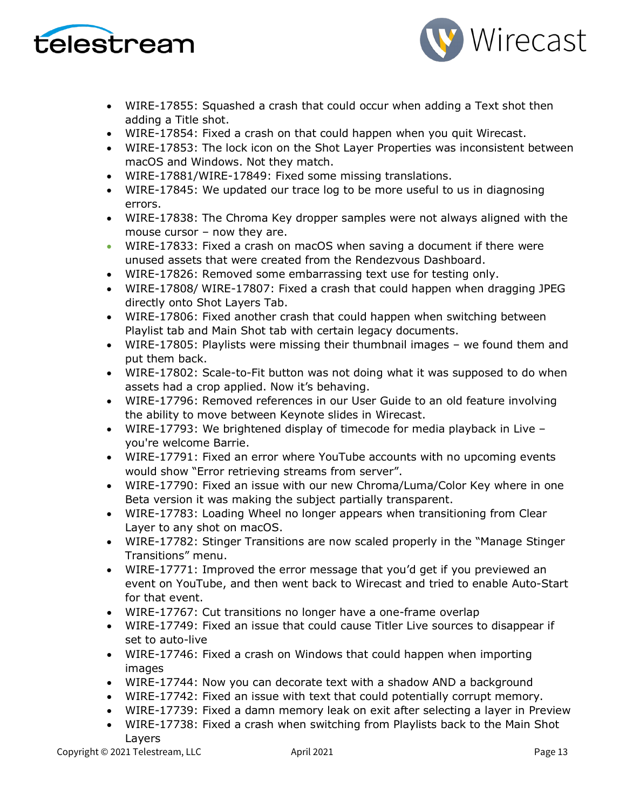



- WIRE-17855: Squashed a crash that could occur when adding a Text shot then adding a Title shot.
- WIRE-17854: Fixed a crash on that could happen when you quit Wirecast.
- WIRE-17853: The lock icon on the Shot Layer Properties was inconsistent between macOS and Windows. Not they match.
- WIRE-17881/WIRE-17849: Fixed some missing translations.
- WIRE-17845: We updated our trace log to be more useful to us in diagnosing errors.
- WIRE-17838: The Chroma Key dropper samples were not always aligned with the mouse cursor – now they are.
- WIRE-17833: Fixed a crash on macOS when saving a document if there were unused assets that were created from the Rendezvous Dashboard.
- WIRE-17826: Removed some embarrassing text use for testing only.
- WIRE-17808/ WIRE-17807: Fixed a crash that could happen when dragging JPEG directly onto Shot Layers Tab.
- WIRE-17806: Fixed another crash that could happen when switching between Playlist tab and Main Shot tab with certain legacy documents.
- WIRE-17805: Playlists were missing their thumbnail images we found them and put them back.
- WIRE-17802: Scale-to-Fit button was not doing what it was supposed to do when assets had a crop applied. Now it's behaving.
- WIRE-17796: Removed references in our User Guide to an old feature involving the ability to move between Keynote slides in Wirecast.
- WIRE-17793: We brightened display of timecode for media playback in Live you're welcome Barrie.
- WIRE-17791: Fixed an error where YouTube accounts with no upcoming events would show "Error retrieving streams from server".
- WIRE-17790: Fixed an issue with our new Chroma/Luma/Color Key where in one Beta version it was making the subject partially transparent.
- WIRE-17783: Loading Wheel no longer appears when transitioning from Clear Layer to any shot on macOS.
- WIRE-17782: Stinger Transitions are now scaled properly in the "Manage Stinger Transitions" menu.
- WIRE-17771: Improved the error message that you'd get if you previewed an event on YouTube, and then went back to Wirecast and tried to enable Auto-Start for that event.
- WIRE-17767: Cut transitions no longer have a one-frame overlap
- WIRE-17749: Fixed an issue that could cause Titler Live sources to disappear if set to auto-live
- WIRE-17746: Fixed a crash on Windows that could happen when importing images
- WIRE-17744: Now you can decorate text with a shadow AND a background
- WIRE-17742: Fixed an issue with text that could potentially corrupt memory.
- WIRE-17739: Fixed a damn memory leak on exit after selecting a layer in Preview
- WIRE-17738: Fixed a crash when switching from Playlists back to the Main Shot Layers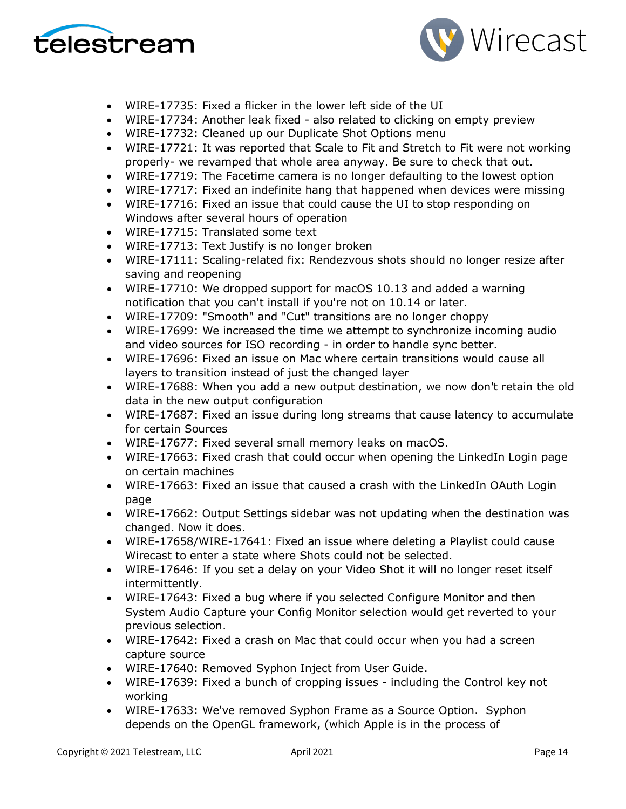



- WIRE-17735: Fixed a flicker in the lower left side of the UI
- WIRE-17734: Another leak fixed also related to clicking on empty preview
- WIRE-17732: Cleaned up our Duplicate Shot Options menu
- WIRE-17721: It was reported that Scale to Fit and Stretch to Fit were not working properly- we revamped that whole area anyway. Be sure to check that out.
- WIRE-17719: The Facetime camera is no longer defaulting to the lowest option
- WIRE-17717: Fixed an indefinite hang that happened when devices were missing
- WIRE-17716: Fixed an issue that could cause the UI to stop responding on Windows after several hours of operation
- WIRE-17715: Translated some text
- WIRE-17713: Text Justify is no longer broken
- WIRE-17111: Scaling-related fix: Rendezvous shots should no longer resize after saving and reopening
- WIRE-17710: We dropped support for macOS 10.13 and added a warning notification that you can't install if you're not on 10.14 or later.
- WIRE-17709: "Smooth" and "Cut" transitions are no longer choppy
- WIRE-17699: We increased the time we attempt to synchronize incoming audio and video sources for ISO recording - in order to handle sync better.
- WIRE-17696: Fixed an issue on Mac where certain transitions would cause all layers to transition instead of just the changed layer
- WIRE-17688: When you add a new output destination, we now don't retain the old data in the new output configuration
- WIRE-17687: Fixed an issue during long streams that cause latency to accumulate for certain Sources
- WIRE-17677: Fixed several small memory leaks on macOS.
- WIRE-17663: Fixed crash that could occur when opening the LinkedIn Login page on certain machines
- WIRE-17663: Fixed an issue that caused a crash with the LinkedIn OAuth Login page
- WIRE-17662: Output Settings sidebar was not updating when the destination was changed. Now it does.
- WIRE-17658/WIRE-17641: Fixed an issue where deleting a Playlist could cause Wirecast to enter a state where Shots could not be selected.
- WIRE-17646: If you set a delay on your Video Shot it will no longer reset itself intermittently.
- WIRE-17643: Fixed a bug where if you selected Configure Monitor and then System Audio Capture your Config Monitor selection would get reverted to your previous selection.
- WIRE-17642: Fixed a crash on Mac that could occur when you had a screen capture source
- WIRE-17640: Removed Syphon Inject from User Guide.
- WIRE-17639: Fixed a bunch of cropping issues including the Control key not working
- WIRE-17633: We've removed Syphon Frame as a Source Option. Syphon depends on the OpenGL framework, (which Apple is in the process of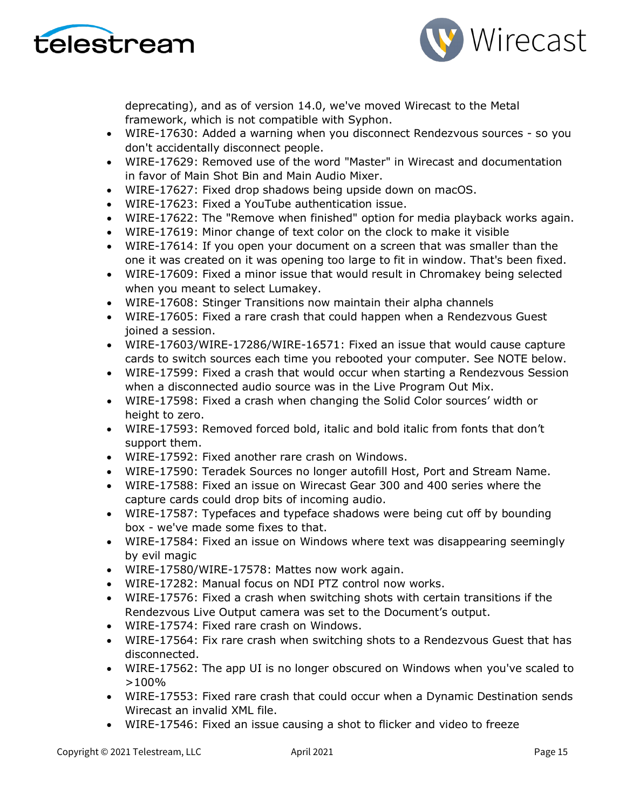



deprecating), and as of version 14.0, we've moved Wirecast to the Metal framework, which is not compatible with Syphon.

- WIRE-17630: Added a warning when you disconnect Rendezvous sources so you don't accidentally disconnect people.
- WIRE-17629: Removed use of the word "Master" in Wirecast and documentation in favor of Main Shot Bin and Main Audio Mixer.
- WIRE-17627: Fixed drop shadows being upside down on macOS.
- WIRE-17623: Fixed a YouTube authentication issue.
- WIRE-17622: The "Remove when finished" option for media playback works again.
- WIRE-17619: Minor change of text color on the clock to make it visible
- WIRE-17614: If you open your document on a screen that was smaller than the one it was created on it was opening too large to fit in window. That's been fixed.
- WIRE-17609: Fixed a minor issue that would result in Chromakey being selected when you meant to select Lumakey.
- WIRE-17608: Stinger Transitions now maintain their alpha channels
- WIRE-17605: Fixed a rare crash that could happen when a Rendezvous Guest joined a session.
- WIRE-17603/WIRE-17286/WIRE-16571: Fixed an issue that would cause capture cards to switch sources each time you rebooted your computer. See NOTE below.
- WIRE-17599: Fixed a crash that would occur when starting a Rendezvous Session when a disconnected audio source was in the Live Program Out Mix.
- WIRE-17598: Fixed a crash when changing the Solid Color sources' width or height to zero.
- WIRE-17593: Removed forced bold, italic and bold italic from fonts that don't support them.
- WIRE-17592: Fixed another rare crash on Windows.
- WIRE-17590: Teradek Sources no longer autofill Host, Port and Stream Name.
- WIRE-17588: Fixed an issue on Wirecast Gear 300 and 400 series where the capture cards could drop bits of incoming audio.
- WIRE-17587: Typefaces and typeface shadows were being cut off by bounding box - we've made some fixes to that.
- WIRE-17584: Fixed an issue on Windows where text was disappearing seemingly by evil magic
- WIRE-17580/WIRE-17578: Mattes now work again.
- WIRE-17282: Manual focus on NDI PTZ control now works.
- WIRE-17576: Fixed a crash when switching shots with certain transitions if the Rendezvous Live Output camera was set to the Document's output.
- WIRE-17574: Fixed rare crash on Windows.
- WIRE-17564: Fix rare crash when switching shots to a Rendezvous Guest that has disconnected.
- WIRE-17562: The app UI is no longer obscured on Windows when you've scaled to  $>100\%$
- WIRE-17553: Fixed rare crash that could occur when a Dynamic Destination sends Wirecast an invalid XML file.
- WIRE-17546: Fixed an issue causing a shot to flicker and video to freeze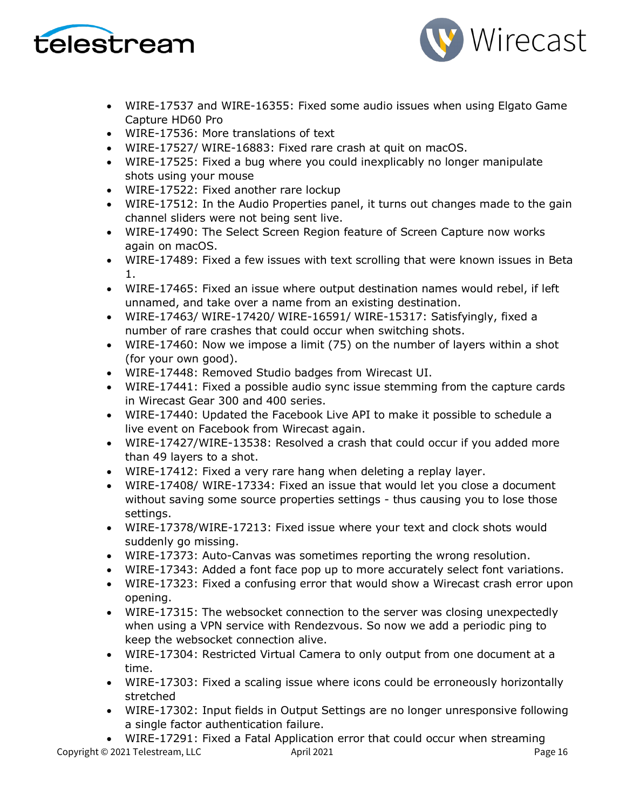



- WIRE-17537 and WIRE-16355: Fixed some audio issues when using Elgato Game Capture HD60 Pro
- WIRE-17536: More translations of text
- WIRE-17527/ WIRE-16883: Fixed rare crash at quit on macOS.
- WIRE-17525: Fixed a bug where you could inexplicably no longer manipulate shots using your mouse
- WIRE-17522: Fixed another rare lockup
- WIRE-17512: In the Audio Properties panel, it turns out changes made to the gain channel sliders were not being sent live.
- WIRE-17490: The Select Screen Region feature of Screen Capture now works again on macOS.
- WIRE-17489: Fixed a few issues with text scrolling that were known issues in Beta 1.
- WIRE-17465: Fixed an issue where output destination names would rebel, if left unnamed, and take over a name from an existing destination.
- WIRE-17463/ WIRE-17420/ WIRE-16591/ WIRE-15317: Satisfyingly, fixed a number of rare crashes that could occur when switching shots.
- WIRE-17460: Now we impose a limit (75) on the number of layers within a shot (for your own good).
- WIRE-17448: Removed Studio badges from Wirecast UI.
- WIRE-17441: Fixed a possible audio sync issue stemming from the capture cards in Wirecast Gear 300 and 400 series.
- WIRE-17440: Updated the Facebook Live API to make it possible to schedule a live event on Facebook from Wirecast again.
- WIRE-17427/WIRE-13538: Resolved a crash that could occur if you added more than 49 layers to a shot.
- WIRE-17412: Fixed a very rare hang when deleting a replay layer.
- WIRE-17408/ WIRE-17334: Fixed an issue that would let you close a document without saving some source properties settings - thus causing you to lose those settings.
- WIRE-17378/WIRE-17213: Fixed issue where your text and clock shots would suddenly go missing.
- WIRE-17373: Auto-Canvas was sometimes reporting the wrong resolution.
- WIRE-17343: Added a font face pop up to more accurately select font variations.
- WIRE-17323: Fixed a confusing error that would show a Wirecast crash error upon opening.
- WIRE-17315: The websocket connection to the server was closing unexpectedly when using a VPN service with Rendezvous. So now we add a periodic ping to keep the websocket connection alive.
- WIRE-17304: Restricted Virtual Camera to only output from one document at a time.
- WIRE-17303: Fixed a scaling issue where icons could be erroneously horizontally stretched
- WIRE-17302: Input fields in Output Settings are no longer unresponsive following a single factor authentication failure.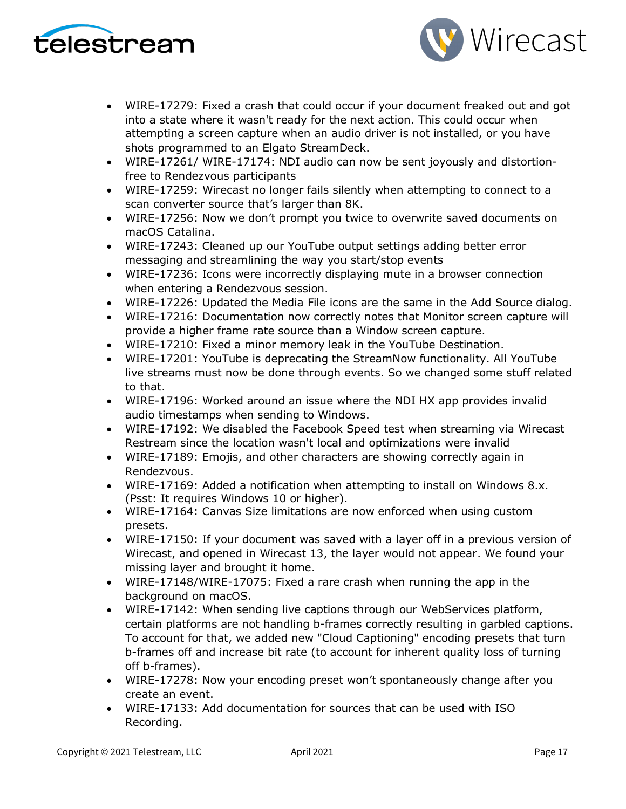



- WIRE-17279: Fixed a crash that could occur if your document freaked out and got into a state where it wasn't ready for the next action. This could occur when attempting a screen capture when an audio driver is not installed, or you have shots programmed to an Elgato StreamDeck.
- WIRE-17261/ WIRE-17174: NDI audio can now be sent joyously and distortionfree to Rendezvous participants
- WIRE-17259: Wirecast no longer fails silently when attempting to connect to a scan converter source that's larger than 8K.
- WIRE-17256: Now we don't prompt you twice to overwrite saved documents on macOS Catalina.
- WIRE-17243: Cleaned up our YouTube output settings adding better error messaging and streamlining the way you start/stop events
- WIRE-17236: Icons were incorrectly displaying mute in a browser connection when entering a Rendezvous session.
- WIRE-17226: Updated the Media File icons are the same in the Add Source dialog.
- WIRE-17216: Documentation now correctly notes that Monitor screen capture will provide a higher frame rate source than a Window screen capture.
- WIRE-17210: Fixed a minor memory leak in the YouTube Destination.
- WIRE-17201: YouTube is deprecating the StreamNow functionality. All YouTube live streams must now be done through events. So we changed some stuff related to that.
- WIRE-17196: Worked around an issue where the NDI HX app provides invalid audio timestamps when sending to Windows.
- WIRE-17192: We disabled the Facebook Speed test when streaming via Wirecast Restream since the location wasn't local and optimizations were invalid
- WIRE-17189: Emojis, and other characters are showing correctly again in Rendezvous.
- WIRE-17169: Added a notification when attempting to install on Windows 8.x. (Psst: It requires Windows 10 or higher).
- WIRE-17164: Canvas Size limitations are now enforced when using custom presets.
- WIRE-17150: If your document was saved with a layer off in a previous version of Wirecast, and opened in Wirecast 13, the layer would not appear. We found your missing layer and brought it home.
- WIRE-17148/WIRE-17075: Fixed a rare crash when running the app in the background on macOS.
- WIRE-17142: When sending live captions through our WebServices platform, certain platforms are not handling b-frames correctly resulting in garbled captions. To account for that, we added new "Cloud Captioning" encoding presets that turn b-frames off and increase bit rate (to account for inherent quality loss of turning off b-frames).
- WIRE-17278: Now your encoding preset won't spontaneously change after you create an event.
- WIRE-17133: Add documentation for sources that can be used with ISO Recording.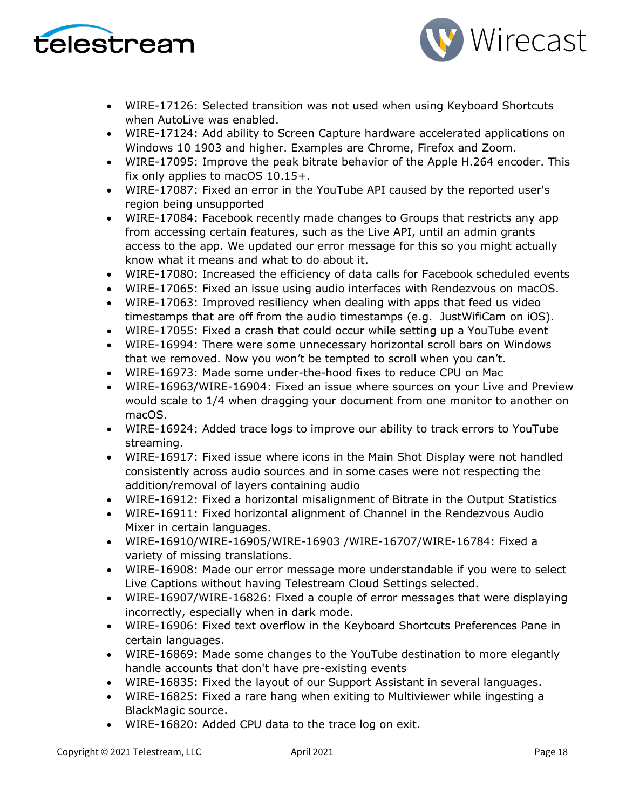



- WIRE-17126: Selected transition was not used when using Keyboard Shortcuts when AutoLive was enabled.
- WIRE-17124: Add ability to Screen Capture hardware accelerated applications on Windows 10 1903 and higher. Examples are Chrome, Firefox and Zoom.
- WIRE-17095: Improve the peak bitrate behavior of the Apple H.264 encoder. This fix only applies to macOS 10.15+.
- WIRE-17087: Fixed an error in the YouTube API caused by the reported user's region being unsupported
- WIRE-17084: Facebook recently made changes to Groups that restricts any app from accessing certain features, such as the Live API, until an admin grants access to the app. We updated our error message for this so you might actually know what it means and what to do about it.
- WIRE-17080: Increased the efficiency of data calls for Facebook scheduled events
- WIRE-17065: Fixed an issue using audio interfaces with Rendezvous on macOS.
- WIRE-17063: Improved resiliency when dealing with apps that feed us video timestamps that are off from the audio timestamps (e.g. JustWifiCam on iOS).
- WIRE-17055: Fixed a crash that could occur while setting up a YouTube event
- WIRE-16994: There were some unnecessary horizontal scroll bars on Windows that we removed. Now you won't be tempted to scroll when you can't.
- WIRE-16973: Made some under-the-hood fixes to reduce CPU on Mac
- WIRE-16963/WIRE-16904: Fixed an issue where sources on your Live and Preview would scale to 1/4 when dragging your document from one monitor to another on macOS.
- WIRE-16924: Added trace logs to improve our ability to track errors to YouTube streaming.
- WIRE-16917: Fixed issue where icons in the Main Shot Display were not handled consistently across audio sources and in some cases were not respecting the addition/removal of layers containing audio
- WIRE-16912: Fixed a horizontal misalignment of Bitrate in the Output Statistics
- WIRE-16911: Fixed horizontal alignment of Channel in the Rendezvous Audio Mixer in certain languages.
- WIRE-16910/WIRE-16905/WIRE-16903 /WIRE-16707/WIRE-16784: Fixed a variety of missing translations.
- WIRE-16908: Made our error message more understandable if you were to select Live Captions without having Telestream Cloud Settings selected.
- WIRE-16907/WIRE-16826: Fixed a couple of error messages that were displaying incorrectly, especially when in dark mode.
- WIRE-16906: Fixed text overflow in the Keyboard Shortcuts Preferences Pane in certain languages.
- WIRE-16869: Made some changes to the YouTube destination to more elegantly handle accounts that don't have pre-existing events
- WIRE-16835: Fixed the layout of our Support Assistant in several languages.
- WIRE-16825: Fixed a rare hang when exiting to Multiviewer while ingesting a BlackMagic source.
- WIRE-16820: Added CPU data to the trace log on exit.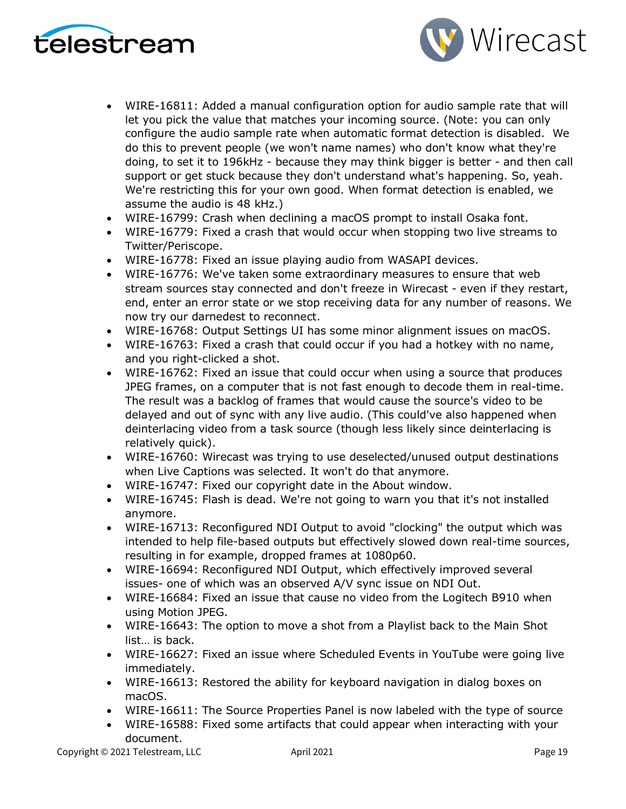



- WIRE-16811: Added a manual configuration option for audio sample rate that will let you pick the value that matches your incoming source. (Note: you can only configure the audio sample rate when automatic format detection is disabled. We do this to prevent people (we won't name names) who don't know what they're doing, to set it to 196kHz - because they may think bigger is better - and then call support or get stuck because they don't understand what's happening. So, yeah. We're restricting this for your own good. When format detection is enabled, we assume the audio is 48 kHz.)
- WIRE-16799: Crash when declining a macOS prompt to install Osaka font.
- WIRE-16779: Fixed a crash that would occur when stopping two live streams to Twitter/Periscope.
- WIRE-16778: Fixed an issue playing audio from WASAPI devices.
- WIRE-16776: We've taken some extraordinary measures to ensure that web stream sources stay connected and don't freeze in Wirecast - even if they restart, end, enter an error state or we stop receiving data for any number of reasons. We now try our darnedest to reconnect.
- WIRE-16768: Output Settings UI has some minor alignment issues on macOS.
- WIRE-16763: Fixed a crash that could occur if you had a hotkey with no name, and you right-clicked a shot.
- WIRE-16762: Fixed an issue that could occur when using a source that produces JPEG frames, on a computer that is not fast enough to decode them in real-time. The result was a backlog of frames that would cause the source's video to be delayed and out of sync with any live audio. (This could've also happened when deinterlacing video from a task source (though less likely since deinterlacing is relatively quick).
- WIRE-16760: Wirecast was trying to use deselected/unused output destinations when Live Captions was selected. It won't do that anymore.
- WIRE-16747: Fixed our copyright date in the About window.
- WIRE-16745: Flash is dead. We're not going to warn you that it's not installed anymore.
- WIRE-16713: Reconfigured NDI Output to avoid "clocking" the output which was intended to help file-based outputs but effectively slowed down real-time sources, resulting in for example, dropped frames at 1080p60.
- WIRE-16694: Reconfigured NDI Output, which effectively improved several issues- one of which was an observed A/V sync issue on NDI Out.
- WIRE-16684: Fixed an issue that cause no video from the Logitech B910 when using Motion JPEG.
- WIRE-16643: The option to move a shot from a Playlist back to the Main Shot list… is back.
- WIRE-16627: Fixed an issue where Scheduled Events in YouTube were going live immediately.
- WIRE-16613: Restored the ability for keyboard navigation in dialog boxes on macOS.
- WIRE-16611: The Source Properties Panel is now labeled with the type of source
- WIRE-16588: Fixed some artifacts that could appear when interacting with your document.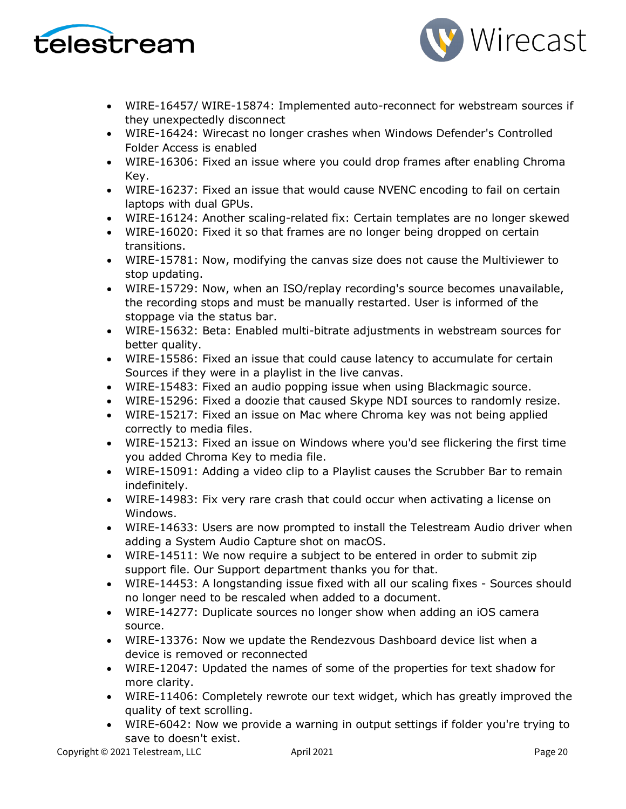



- WIRE-16457/ WIRE-15874: Implemented auto-reconnect for webstream sources if they unexpectedly disconnect
- WIRE-16424: Wirecast no longer crashes when Windows Defender's Controlled Folder Access is enabled
- WIRE-16306: Fixed an issue where you could drop frames after enabling Chroma Key.
- WIRE-16237: Fixed an issue that would cause NVENC encoding to fail on certain laptops with dual GPUs.
- WIRE-16124: Another scaling-related fix: Certain templates are no longer skewed
- WIRE-16020: Fixed it so that frames are no longer being dropped on certain transitions.
- WIRE-15781: Now, modifying the canvas size does not cause the Multiviewer to stop updating.
- WIRE-15729: Now, when an ISO/replay recording's source becomes unavailable, the recording stops and must be manually restarted. User is informed of the stoppage via the status bar.
- WIRE-15632: Beta: Enabled multi-bitrate adjustments in webstream sources for better quality.
- WIRE-15586: Fixed an issue that could cause latency to accumulate for certain Sources if they were in a playlist in the live canvas.
- WIRE-15483: Fixed an audio popping issue when using Blackmagic source.
- WIRE-15296: Fixed a doozie that caused Skype NDI sources to randomly resize.
- WIRE-15217: Fixed an issue on Mac where Chroma key was not being applied correctly to media files.
- WIRE-15213: Fixed an issue on Windows where you'd see flickering the first time you added Chroma Key to media file.
- WIRE-15091: Adding a video clip to a Playlist causes the Scrubber Bar to remain indefinitely.
- WIRE-14983: Fix very rare crash that could occur when activating a license on Windows.
- WIRE-14633: Users are now prompted to install the Telestream Audio driver when adding a System Audio Capture shot on macOS.
- WIRE-14511: We now require a subject to be entered in order to submit zip support file. Our Support department thanks you for that.
- WIRE-14453: A longstanding issue fixed with all our scaling fixes Sources should no longer need to be rescaled when added to a document.
- WIRE-14277: Duplicate sources no longer show when adding an iOS camera source.
- WIRE-13376: Now we update the Rendezvous Dashboard device list when a device is removed or reconnected
- WIRE-12047: Updated the names of some of the properties for text shadow for more clarity.
- WIRE-11406: Completely rewrote our text widget, which has greatly improved the quality of text scrolling.
- WIRE-6042: Now we provide a warning in output settings if folder you're trying to save to doesn't exist.